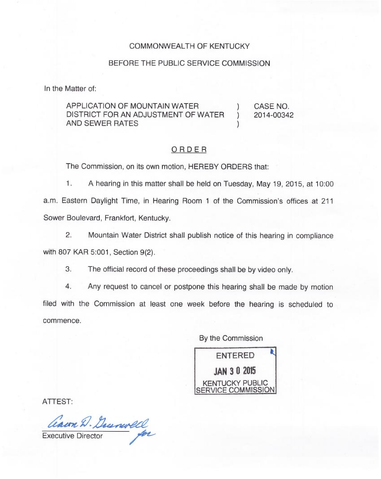## COMMONWEALTH OF KENTUCKY

## BEFORE THE PUBLIC SERVICE COMMISSION

In the Matter of:

## APPLICATION OF MOUNTAIN WATER  $\qquad \qquad$  ) CASE NO.<br>DISTRICT FOR AN ADJUSTMENT OF WATER ) 2014-00342 DISTRICT FOR AN ADJUSTMENT OF WATER AND SEWER RATES

## ORDER

The Commission, on its own motion, HEREBY ORDERS that:

1. <sup>A</sup> hearing in this matter shall be held on Tuesday, May 19, 2015, at 10:00 a.m. Eastern Daylight Time, in Hearing Room <sup>1</sup> of the Commission's offices at 211 Sower Boulevard, Frankfort, Kentucky.

 $2.$ Mountain Water District shall publish notice of this hearing in compliance with 807 KAR 5:001, Section 9(2).

3. The official record of these proceedings shall be by video only.

4. Any request to cancel or postpone this hearing shall be made by motion filed with the Commission at least one week before the hearing is scheduled to commence.

By the Commission

ENTERED JAN 3 0 2015 KENTUCKY PUBLIC ERVICE COMMISSION

ATTEST:

Ceaun D. Durnwell